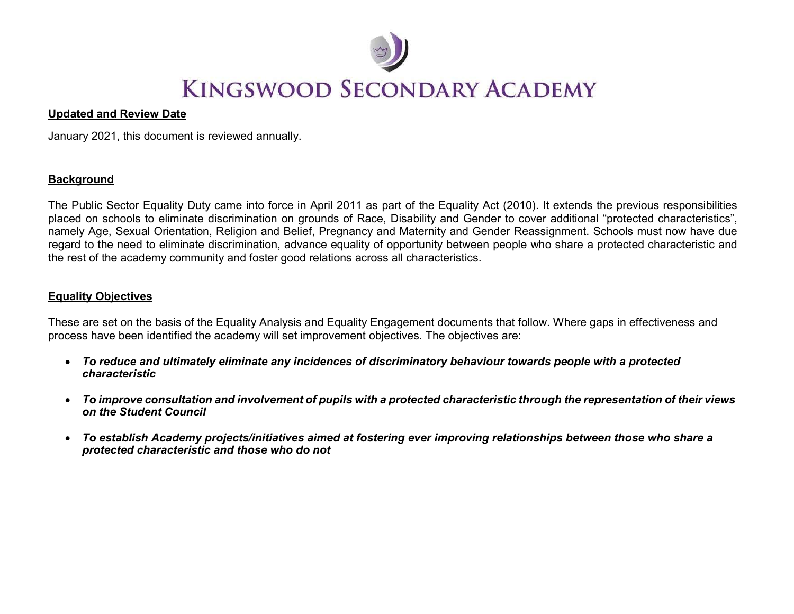

#### Updated and Review Date

January 2021, this document is reviewed annually.

### **Background**

The Public Sector Equality Duty came into force in April 2011 as part of the Equality Act (2010). It extends the previous responsibilities placed on schools to eliminate discrimination on grounds of Race, Disability and Gender to cover additional "protected characteristics", namely Age, Sexual Orientation, Religion and Belief, Pregnancy and Maternity and Gender Reassignment. Schools must now have due regard to the need to eliminate discrimination, advance equality of opportunity between people who share a protected characteristic and the rest of the academy community and foster good relations across all characteristics.

#### Equality Objectives

These are set on the basis of the Equality Analysis and Equality Engagement documents that follow. Where gaps in effectiveness and process have been identified the academy will set improvement objectives. The objectives are:

- To reduce and ultimately eliminate any incidences of discriminatory behaviour towards people with a protected characteristic
- To improve consultation and involvement of pupils with a protected characteristic through the representation of their views on the Student Council
- To establish Academy projects/initiatives aimed at fostering ever improving relationships between those who share a protected characteristic and those who do not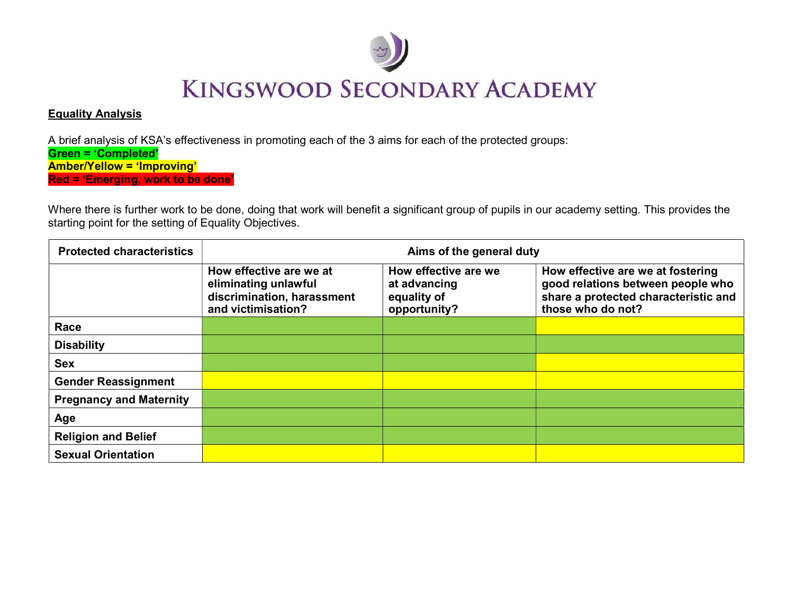

### Equality Analysis

A brief analysis of KSA's effectiveness in promoting each of the 3 aims for each of the protected groups: Green = 'Completed' Amber/Yellow = 'Improving' Red = 'Emerging, work to be done'

Where there is further work to be done, doing that work will benefit a significant group of pupils in our academy setting. This provides the starting point for the setting of Equality Objectives.

| <b>Protected characteristics</b> | Aims of the general duty                                                                            |                                                                     |                                                                                                                                     |  |
|----------------------------------|-----------------------------------------------------------------------------------------------------|---------------------------------------------------------------------|-------------------------------------------------------------------------------------------------------------------------------------|--|
|                                  | How effective are we at<br>eliminating unlawful<br>discrimination, harassment<br>and victimisation? | How effective are we<br>at advancing<br>equality of<br>opportunity? | How effective are we at fostering<br>good relations between people who<br>share a protected characteristic and<br>those who do not? |  |
| Race                             |                                                                                                     |                                                                     |                                                                                                                                     |  |
| <b>Disability</b>                |                                                                                                     |                                                                     |                                                                                                                                     |  |
| <b>Sex</b>                       |                                                                                                     |                                                                     |                                                                                                                                     |  |
| <b>Gender Reassignment</b>       |                                                                                                     |                                                                     |                                                                                                                                     |  |
| <b>Pregnancy and Maternity</b>   |                                                                                                     |                                                                     |                                                                                                                                     |  |
| Age                              |                                                                                                     |                                                                     |                                                                                                                                     |  |
| <b>Religion and Belief</b>       |                                                                                                     |                                                                     |                                                                                                                                     |  |
| <b>Sexual Orientation</b>        |                                                                                                     |                                                                     |                                                                                                                                     |  |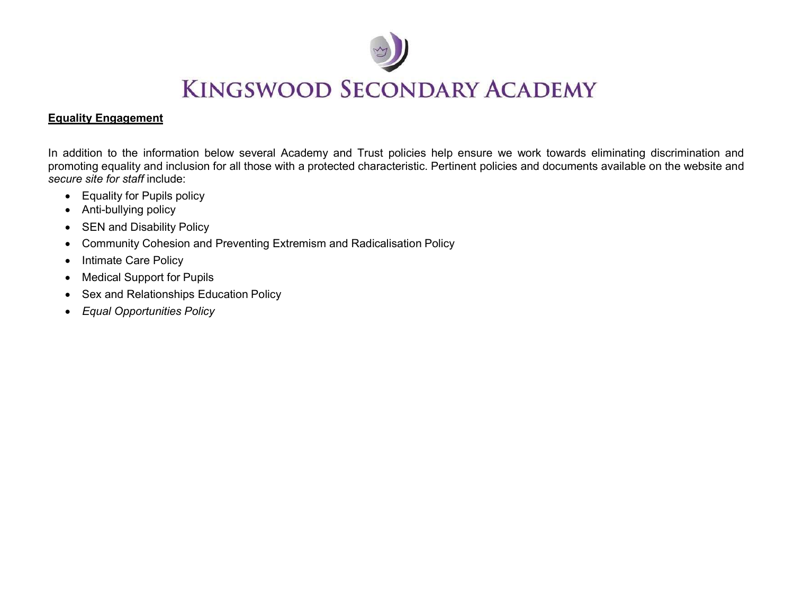

### Equality Engagement

In addition to the information below several Academy and Trust policies help ensure we work towards eliminating discrimination and promoting equality and inclusion for all those with a protected characteristic. Pertinent policies and documents available on the website and secure site for staff include:

- Equality for Pupils policy
- Anti-bullying policy
- SEN and Disability Policy
- Community Cohesion and Preventing Extremism and Radicalisation Policy
- Intimate Care Policy
- Medical Support for Pupils
- Sex and Relationships Education Policy
- Equal Opportunities Policy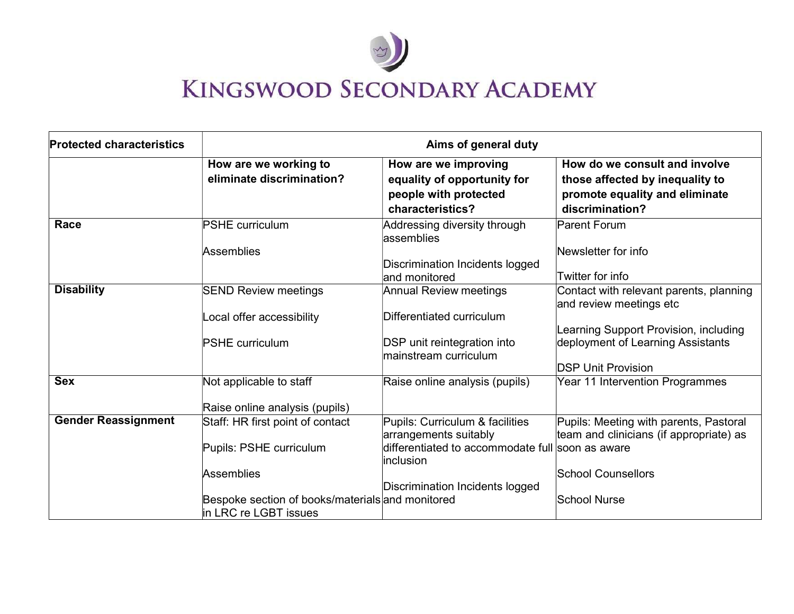

| <b>Protected characteristics</b> | Aims of general duty                                                      |                                                                                                  |                                                                                                                       |  |
|----------------------------------|---------------------------------------------------------------------------|--------------------------------------------------------------------------------------------------|-----------------------------------------------------------------------------------------------------------------------|--|
|                                  | How are we working to<br>eliminate discrimination?                        | How are we improving<br>equality of opportunity for<br>people with protected<br>characteristics? | How do we consult and involve<br>those affected by inequality to<br>promote equality and eliminate<br>discrimination? |  |
| Race                             | <b>PSHE curriculum</b>                                                    | Addressing diversity through<br>lassemblies                                                      | <b>Parent Forum</b>                                                                                                   |  |
|                                  | Assemblies                                                                | Discrimination Incidents logged<br>and monitored                                                 | Newsletter for info<br>Twitter for info                                                                               |  |
| <b>Disability</b>                | <b>SEND Review meetings</b>                                               | <b>Annual Review meetings</b>                                                                    | Contact with relevant parents, planning<br>and review meetings etc                                                    |  |
|                                  | Local offer accessibility                                                 | Differentiated curriculum                                                                        | Learning Support Provision, including                                                                                 |  |
|                                  | <b>PSHE curriculum</b>                                                    | DSP unit reintegration into<br>mainstream curriculum                                             | deployment of Learning Assistants<br><b>DSP Unit Provision</b>                                                        |  |
| <b>Sex</b>                       | Not applicable to staff<br>Raise online analysis (pupils)                 | Raise online analysis (pupils)                                                                   | Year 11 Intervention Programmes                                                                                       |  |
| <b>Gender Reassignment</b>       | Staff: HR first point of contact                                          | Pupils: Curriculum & facilities<br>arrangements suitably                                         | Pupils: Meeting with parents, Pastoral<br>team and clinicians (if appropriate) as                                     |  |
|                                  | Pupils: PSHE curriculum                                                   | differentiated to accommodate full soon as aware<br>linclusion                                   |                                                                                                                       |  |
|                                  | <b>Assemblies</b>                                                         | Discrimination Incidents logged                                                                  | School Counsellors                                                                                                    |  |
|                                  | Bespoke section of books/materials and monitored<br>in LRC re LGBT issues |                                                                                                  | <b>School Nurse</b>                                                                                                   |  |